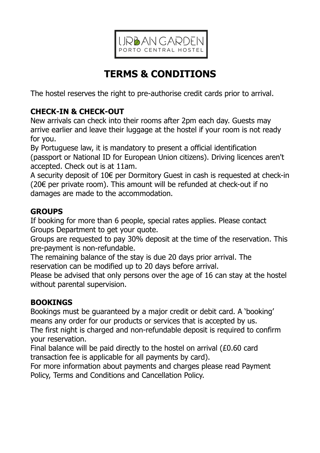

# **TERMS & CONDITIONS**

The hostel reserves the right to pre-authorise credit cards prior to arrival.

# **CHECK-IN & CHECK-OUT**

New arrivals can check into their rooms after 2pm each day. Guests may arrive earlier and leave their luggage at the hostel if your room is not ready for you.

By Portuguese law, it is mandatory to present a official identification (passport or National ID for European Union citizens). Driving licences aren't accepted. Check out is at 11am.

A security deposit of 10€ per Dormitory Guest in cash is requested at check-in (20€ per private room). This amount will be refunded at check-out if no damages are made to the accommodation.

# **GROUPS**

If booking for more than 6 people, special rates applies. Please contact Groups Department to get your quote.

Groups are requested to pay 30% deposit at the time of the reservation. This pre-payment is non-refundable.

The remaining balance of the stay is due 20 days prior arrival. The reservation can be modified up to 20 days before arrival.

Please be advised that only persons over the age of 16 can stay at the hostel without parental supervision.

# **BOOKINGS**

Bookings must be guaranteed by a major credit or debit card. A 'booking' means any order for our products or services that is accepted by us.

The first night is charged and non-refundable deposit is required to confirm your reservation.

Final balance will be paid directly to the hostel on arrival (£0.60 card transaction fee is applicable for all payments by card).

For more information about payments and charges please read Payment Policy, Terms and Conditions and Cancellation Policy.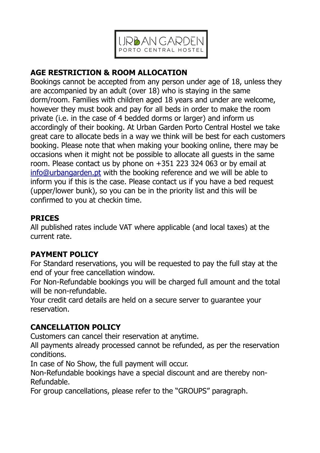

# **AGE RESTRICTION & ROOM ALLOCATION**

Bookings cannot be accepted from any person under age of 18, unless they are accompanied by an adult (over 18) who is staying in the same dorm/room. Families with children aged 18 years and under are welcome, however they must book and pay for all beds in order to make the room private (i.e. in the case of 4 bedded dorms or larger) and inform us accordingly of their booking. At Urban Garden Porto Central Hostel we take great care to allocate beds in a way we think will be best for each customers booking. Please note that when making your booking online, there may be occasions when it might not be possible to allocate all guests in the same room. Please contact us by phone on +351 223 324 063 or by email at [info@urbangarden.pt](mailto:info@urbangarden.pt) with the booking reference and we will be able to inform you if this is the case. Please contact us if you have a bed request (upper/lower bunk), so you can be in the priority list and this will be confirmed to you at checkin time.

### **PRICES**

All published rates include VAT where applicable (and local taxes) at the current rate.

### **PAYMENT POLICY**

For Standard reservations, you will be requested to pay the full stay at the end of your free cancellation window.

For Non-Refundable bookings you will be charged full amount and the total will be non-refundable.

Your credit card details are held on a secure server to guarantee your reservation.

# **CANCELLATION POLICY**

Customers can cancel their reservation at anytime.

All payments already processed cannot be refunded, as per the reservation conditions.

In case of No Show, the full payment will occur.

Non-Refundable bookings have a special discount and are thereby non-Refundable.

For group cancellations, please refer to the "GROUPS" paragraph.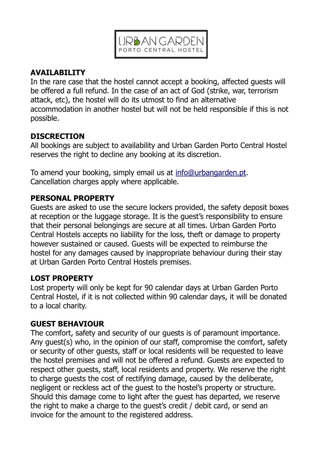

# **AVAILABILITY**

In the rare case that the hostel cannot accept a booking, affected guests will be offered a full refund. In the case of an act of God (strike, war, terrorism attack, etc), the hostel will do its utmost to find an alternative accommodation in another hostel but will not be held responsible if this is not possible.

## **DISCRECTION**

All bookings are subject to availability and Urban Garden Porto Central Hostel reserves the right to decline any booking at its discretion.

To amend your booking, simply email us at [info@urbangarden.pt.](mailto:info@urbangarden.pt) Cancellation charges apply where applicable.

# **PERSONAL PROPERTY**

Guests are asked to use the secure lockers provided, the safety deposit boxes at reception or the luggage storage. It is the guest's responsibility to ensure that their personal belongings are secure at all times. Urban Garden Porto Central Hostels accepts no liability for the loss, theft or damage to property however sustained or caused. Guests will be expected to reimburse the hostel for any damages caused by inappropriate behaviour during their stay at Urban Garden Porto Central Hostels premises.

# **LOST PROPERTY**

Lost property will only be kept for 90 calendar days at Urban Garden Porto Central Hostel, if it is not collected within 90 calendar days, it will be donated to a local charity.

### **GUEST BEHAVIOUR**

The comfort, safety and security of our guests is of paramount importance. Any guest(s) who, in the opinion of our staff, compromise the comfort, safety or security of other guests, staff or local residents will be requested to leave the hostel premises and will not be offered a refund. Guests are expected to respect other guests, staff, local residents and property. We reserve the right to charge guests the cost of rectifying damage, caused by the deliberate, negligent or reckless act of the guest to the hostel's property or structure. Should this damage come to light after the guest has departed, we reserve the right to make a charge to the guest's credit / debit card, or send an invoice for the amount to the registered address.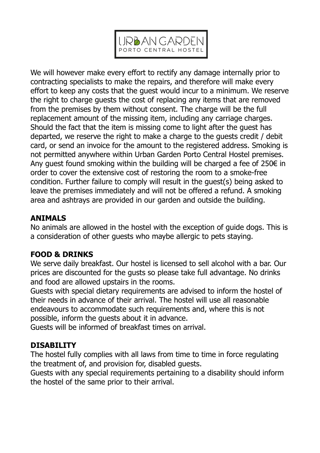

We will however make every effort to rectify any damage internally prior to contracting specialists to make the repairs, and therefore will make every effort to keep any costs that the guest would incur to a minimum. We reserve the right to charge guests the cost of replacing any items that are removed from the premises by them without consent. The charge will be the full replacement amount of the missing item, including any carriage charges. Should the fact that the item is missing come to light after the guest has departed, we reserve the right to make a charge to the guests credit / debit card, or send an invoice for the amount to the registered address. Smoking is not permitted anywhere within Urban Garden Porto Central Hostel premises. Any quest found smoking within the building will be charged a fee of 250 $\epsilon$  in order to cover the extensive cost of restoring the room to a smoke-free condition. Further failure to comply will result in the guest(s) being asked to leave the premises immediately and will not be offered a refund. A smoking area and ashtrays are provided in our garden and outside the building.

### **ANIMALS**

No animals are allowed in the hostel with the exception of guide dogs. This is a consideration of other guests who maybe allergic to pets staying.

### **FOOD & DRINKS**

We serve daily breakfast. Our hostel is licensed to sell alcohol with a bar. Our prices are discounted for the gusts so please take full advantage. No drinks and food are allowed upstairs in the rooms.

Guests with special dietary requirements are advised to inform the hostel of their needs in advance of their arrival. The hostel will use all reasonable endeavours to accommodate such requirements and, where this is not possible, inform the guests about it in advance.

Guests will be informed of breakfast times on arrival.

### **DISABILITY**

The hostel fully complies with all laws from time to time in force regulating the treatment of, and provision for, disabled guests.

Guests with any special requirements pertaining to a disability should inform the hostel of the same prior to their arrival.